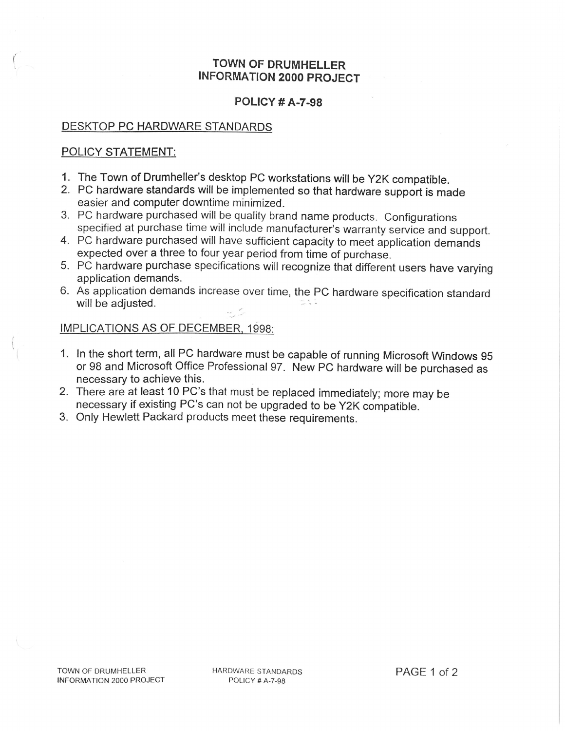## TOWNOF DRUMHELLER INFORMATION 2000 PROJECT

#### POLICY# A-7-98

## DESKTOP PC HARDWARE STANDARDS

## POLICY STATEMENT:

- 1. The Town of Drumheller's desktop PC workstations will be Y2K compatible.
- 2. PC hardware standards will be implemented so that hardware support is made easier and computer downtime minimized.
- 3. PC hardware purchased will be quality brand name products. Configurations specified at purchase time will include manufacturer's warranty service and support.
- 4. PC hardware purchased will have sufficient capacity to meet application demands expected over a three to four year period from time of purchase.
- 5. PC hardware purchase specifications will recognize that different users have varying application demands.
- 6. As application demands increase over time, the PC hardware specification standard will be adjusted.

# IMPLICATIONS AS OF DECEMBER 1998:

- 1. In the short term, all PC hardware must be capable of running Microsoft Windows 95 or 98 and Microsoft Office Professional 97. New PC hardware will be purchased as necessary to achieve this.
- 2. There are at least 10 PC's that must be replaced immediately; more may be necessary if existing PC's can not be upgraded to be Y2K compatible.
- Only Hewlett Packard products meet these requirements.